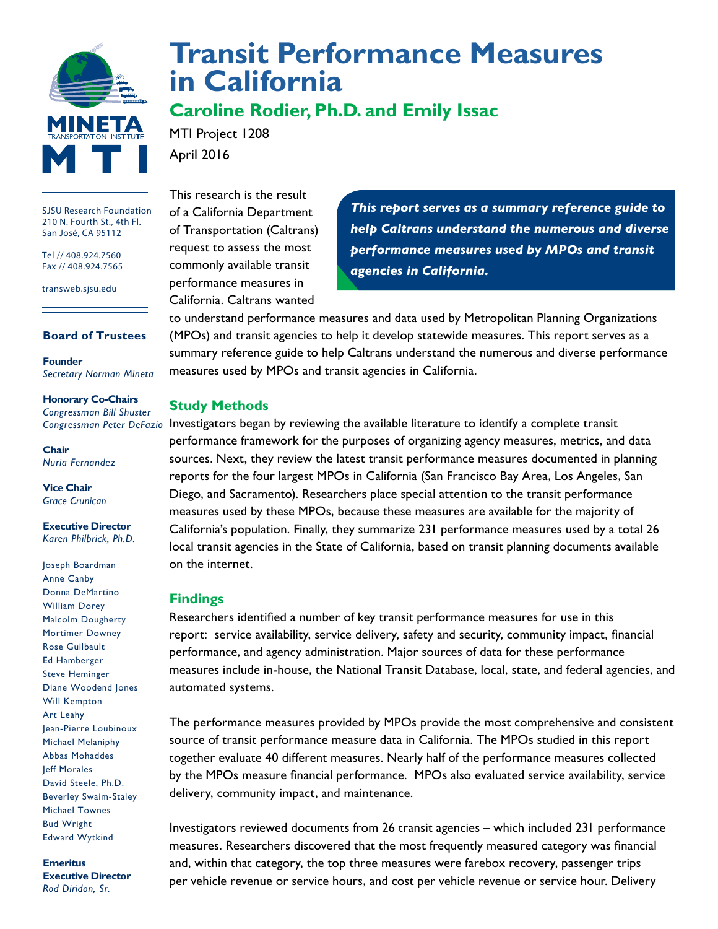

**[Transit Performance Measures](http://transweb.sjsu.edu/project/1208.html) [in California](http://transweb.sjsu.edu/project/1208.html)**

# **Caroline Rodier, Ph.D. and Emily Issac**

MTI Project 1208 April 2016

SJSU Research Foundation 210 N. Fourth St., 4th Fl. San José, CA 95112

Tel // 408.924.7560 Fax // 408.924.7565

transweb.sjsu.edu

## **Board of Trustees**

**Founder** *Secretary Norman Mineta*

#### **Honorary Co-Chairs** *Congressman Bill Shuster*

*Congressman Peter DeFazio*

**Chair** *Nuria Fernandez*

**Vice Chair** *Grace Crunican*

**Executive Director** *Karen Philbrick, Ph.D.*

Joseph Boardman Anne Canby Donna DeMartino William Dorey Malcolm Dougherty Mortimer Downey Rose Guilbault Ed Hamberger Steve Heminger Diane Woodend Jones Will Kempton Art Leahy Jean-Pierre Loubinoux Michael Melaniphy Abbas Mohaddes Jeff Morales David Steele, Ph.D. Beverley Swaim-Staley Michael Townes Bud Wright Edward Wytkind

**Emeritus Executive Director** *Rod Diridon, Sr.*

This research is the result of a California Department of Transportation (Caltrans) request to assess the most commonly available transit performance measures in California. Caltrans wanted

*This report serves as a summary reference guide to help Caltrans understand the numerous and diverse performance measures used by MPOs and transit agencies in California.*

to understand performance measures and data used by Metropolitan Planning Organizations (MPOs) and transit agencies to help it develop statewide measures. This report serves as a summary reference guide to help Caltrans understand the numerous and diverse performance measures used by MPOs and transit agencies in California.

### **Study Methods**

Investigators began by reviewing the available literature to identify a complete transit performance framework for the purposes of organizing agency measures, metrics, and data sources. Next, they review the latest transit performance measures documented in planning reports for the four largest MPOs in California (San Francisco Bay Area, Los Angeles, San Diego, and Sacramento). Researchers place special attention to the transit performance measures used by these MPOs, because these measures are available for the majority of California's population. Finally, they summarize 231 performance measures used by a total 26 local transit agencies in the State of California, based on transit planning documents available on the internet.

### **Findings**

Researchers identified a number of key transit performance measures for use in this report: service availability, service delivery, safety and security, community impact, financial performance, and agency administration. Major sources of data for these performance measures include in-house, the National Transit Database, local, state, and federal agencies, and automated systems.

The performance measures provided by MPOs provide the most comprehensive and consistent source of transit performance measure data in California. The MPOs studied in this report together evaluate 40 different measures. Nearly half of the performance measures collected by the MPOs measure financial performance. MPOs also evaluated service availability, service delivery, community impact, and maintenance.

Investigators reviewed documents from 26 transit agencies – which included 231 performance measures. Researchers discovered that the most frequently measured category was financial and, within that category, the top three measures were farebox recovery, passenger trips per vehicle revenue or service hours, and cost per vehicle revenue or service hour. Delivery